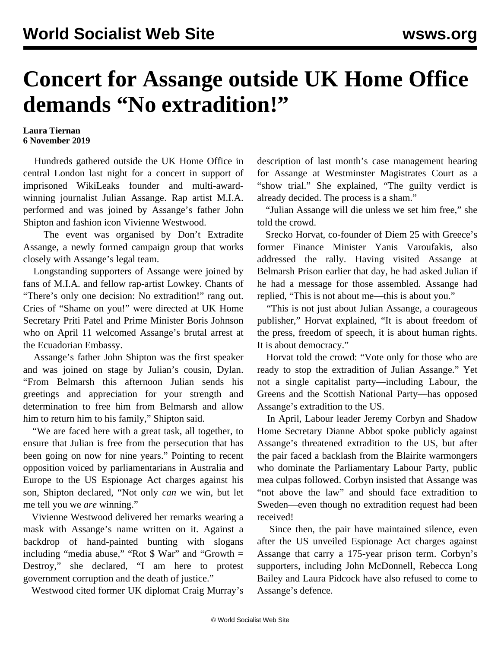## **Concert for Assange outside UK Home Office demands "No extradition!"**

## **Laura Tiernan 6 November 2019**

 Hundreds gathered outside the UK Home Office in central London last night for a concert in support of imprisoned WikiLeaks founder and multi-awardwinning journalist Julian Assange. Rap artist M.I.A. performed and was joined by Assange's father John Shipton and fashion icon Vivienne Westwood.

 The event was organised by Don't Extradite Assange, a newly formed campaign group that works closely with Assange's legal team.

 Longstanding supporters of Assange were joined by fans of M.I.A. and fellow rap-artist Lowkey. Chants of "There's only one decision: No extradition!" rang out. Cries of "Shame on you!" were directed at UK Home Secretary Priti Patel and Prime Minister Boris Johnson who on April 11 welcomed Assange's brutal arrest at the Ecuadorian Embassy.

 Assange's father John Shipton was the first speaker and was joined on stage by Julian's cousin, Dylan. "From Belmarsh this afternoon Julian sends his greetings and appreciation for your strength and determination to free him from Belmarsh and allow him to return him to his family," Shipton said.

 "We are faced here with a great task, all together, to ensure that Julian is free from the persecution that has been going on now for nine years." Pointing to recent opposition voiced by parliamentarians in Australia and Europe to the US Espionage Act charges against his son, Shipton declared, "Not only *can* we win, but let me tell you we *are* winning."

 Vivienne Westwood delivered her remarks wearing a mask with Assange's name written on it. Against a backdrop of hand-painted bunting with slogans including "media abuse," "Rot  $\frac{1}{2}$  War" and "Growth = Destroy," she declared, "I am here to protest government corruption and the death of justice."

Westwood cited former UK diplomat Craig Murray's

description of last month's case management hearing for Assange at Westminster Magistrates Court as a "show trial." She explained, "The guilty verdict is already decided. The process is a sham."

 "Julian Assange will die unless we set him free," she told the crowd.

 Srecko Horvat, co-founder of Diem 25 with Greece's former Finance Minister Yanis Varoufakis, also addressed the rally. Having visited Assange at Belmarsh Prison earlier that day, he had asked Julian if he had a message for those assembled. Assange had replied, "This is not about me—this is about you."

 "This is not just about Julian Assange, a courageous publisher," Horvat explained, "It is about freedom of the press, freedom of speech, it is about human rights. It is about democracy."

 Horvat told the crowd: "Vote only for those who are ready to stop the extradition of Julian Assange." Yet not a single capitalist party—including Labour, the Greens and the Scottish National Party—has opposed Assange's extradition to the US.

 In April, Labour leader Jeremy Corbyn and Shadow Home Secretary Dianne Abbot spoke publicly against Assange's threatened extradition to the US, but after the pair faced a backlash from the Blairite warmongers who dominate the Parliamentary Labour Party, public mea culpas followed. Corbyn insisted that Assange was "not above the law" and should face extradition to Sweden—even though no extradition request had been received!

 Since then, the pair have maintained silence, even after the US unveiled Espionage Act charges against Assange that carry a 175-year prison term. Corbyn's supporters, including John McDonnell, Rebecca Long Bailey and Laura Pidcock have also refused to come to Assange's defence.